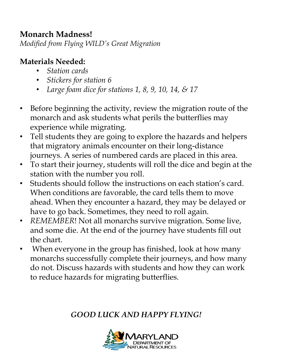#### **Monarch Madness!**

*Modified from Flying WILD's Great Migration*

#### **Materials Needed:**

- *Station cards*
- *Stickers for station 6*
- *Large foam dice for stations 1, 8, 9, 10, 14, & 17*
- Before beginning the activity, review the migration route of the monarch and ask students what perils the butterflies may experience while migrating.
- Tell students they are going to explore the hazards and helpers that migratory animals encounter on their long-distance journeys. A series of numbered cards are placed in this area.
- To start their journey, students will roll the dice and begin at the station with the number you roll.
- Students should follow the instructions on each station's card. When conditions are favorable, the card tells them to move ahead. When they encounter a hazard, they may be delayed or have to go back. Sometimes, they need to roll again.
- *REMEMBER*! Not all monarchs survive migration. Some live, and some die. At the end of the journey have students fill out the chart.
- When everyone in the group has finished, look at how many monarchs successfully complete their journeys, and how many do not. Discuss hazards with students and how they can work to reduce hazards for migrating butterflies.

#### *GOOD LUCK AND HAPPY FLYING!*

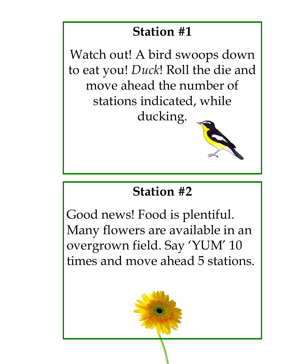Watch out! A bird swoops down to eat you! *Duck*! Roll the die and move ahead the number of stations indicated, while ducking.

#### **Station #2**

Good news! Food is plentiful. Many flowers are available in an overgrown field. Say 'YUM' 10 times and move ahead 5 stations.

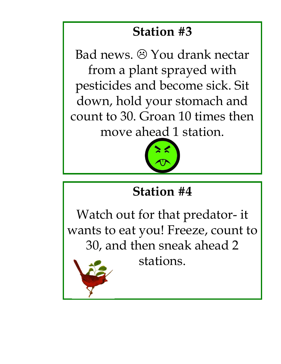Bad news.  $\odot$  You drank nectar from a plant sprayed with pesticides and become sick. Sit down, hold your stomach and count to 30. Groan 10 times then move ahead 1 station.



### **Station #4**

Watch out for that predator- it wants to eat you! Freeze, count to 30, and then sneak ahead 2



stations.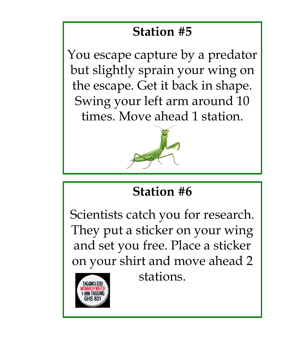You escape capture by a predator but slightly sprain your wing on the escape. Get it back in shape. Swing your left arm around 10 times. Move ahead 1 station.



# **Station #6**

Scientists catch you for research. They put a sticker on your wing and set you free. Place a sticker on your shirt and move ahead 2

tag@ku.edu

stations.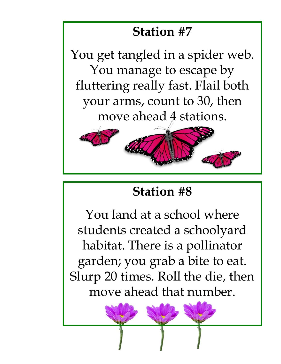You get tangled in a spider web. You manage to escape by fluttering really fast. Flail both your arms, count to 30, then move ahead 4 stations.



### **Station #8**

You land at a school where students created a schoolyard habitat. There is a pollinator garden; you grab a bite to eat. Slurp 20 times. Roll the die, then move ahead that number.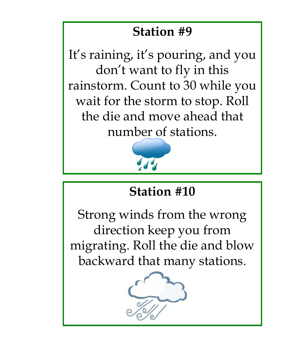It's raining, it's pouring, and you don't want to fly in this rainstorm. Count to 30 while you wait for the storm to stop. Roll the die and move ahead that number of stations.



# **Station #10**

Strong winds from the wrong direction keep you from migrating. Roll the die and blow backward that many stations.

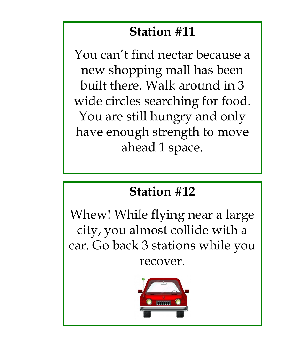You can't find nectar because a new shopping mall has been built there. Walk around in 3 wide circles searching for food. You are still hungry and only have enough strength to move ahead 1 space.

#### **Station #12**

Whew! While flying near a large city, you almost collide with a car. Go back 3 stations while you recover.

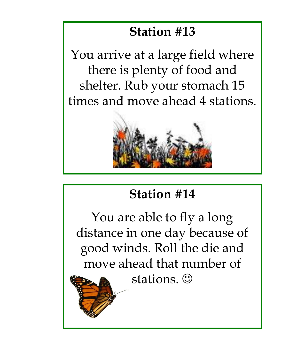You arrive at a large field where there is plenty of food and shelter. Rub your stomach 15 times and move ahead 4 stations.



# **Station #14**

You are able to fly a long distance in one day because of good winds. Roll the die and move ahead that number of

stations.  $\odot$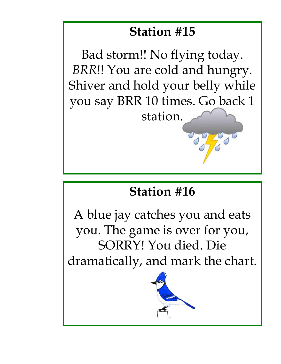Bad storm!! No flying today. *BRR*!! You are cold and hungry. Shiver and hold your belly while you say BRR 10 times. Go back 1 station.

# **Station #16**

A blue jay catches you and eats you. The game is over for you, SORRY! You died. Die dramatically, and mark the chart.

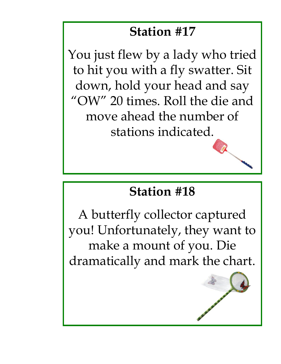You just flew by a lady who tried to hit you with a fly swatter. Sit down, hold your head and say "OW" 20 times. Roll the die and move ahead the number of stations indicated.

#### **Station #18**

A butterfly collector captured you! Unfortunately, they want to make a mount of you. Die dramatically and mark the chart.

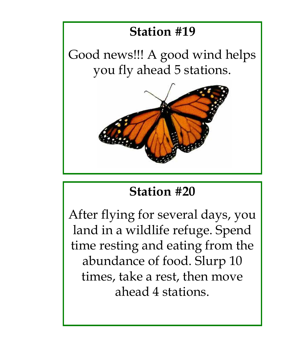Good news!!! A good wind helps you fly ahead 5 stations.



### **Station #20**

After flying for several days, you land in a wildlife refuge. Spend time resting and eating from the abundance of food. Slurp 10 times, take a rest, then move ahead 4 stations.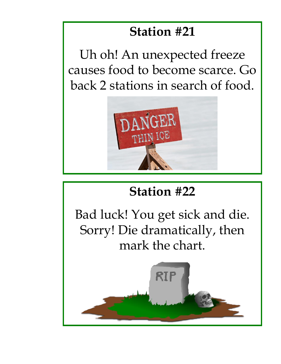Uh oh! An unexpected freeze causes food to become scarce. Go back 2 stations in search of food.



# **Station #22**

Bad luck! You get sick and die. Sorry! Die dramatically, then mark the chart.

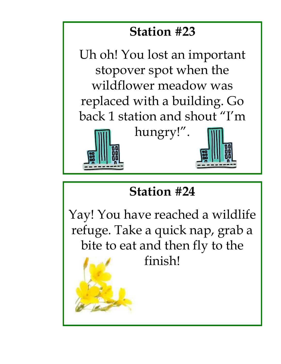Uh oh! You lost an important stopover spot when the wildflower meadow was replaced with a building. Go back 1 station and shout "I'm



hungry!".



# **Station #24**

Yay! You have reached a wildlife refuge. Take a quick nap, grab a bite to eat and then fly to the finish!